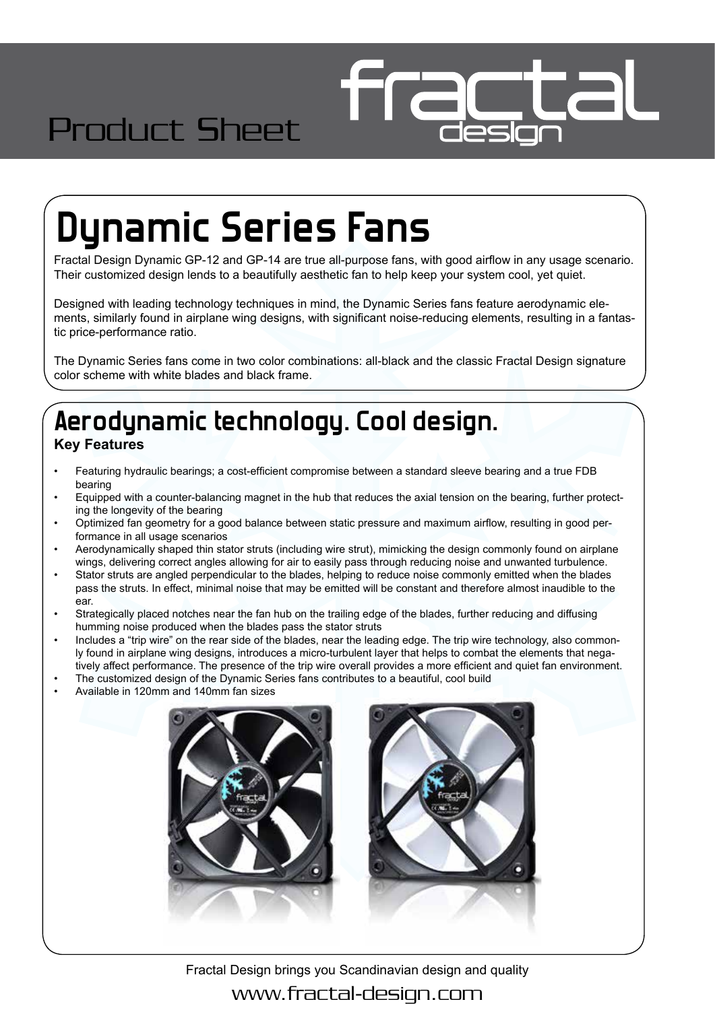# Product Sheet

# **Dynamic Series Fans**

Fractal Design Dynamic GP-12 and GP-14 are true all-purpose fans, with good airflow in any usage scenario. Their customized design lends to a beautifully aesthetic fan to help keep your system cool, yet quiet.

Designed with leading technology techniques in mind, the Dynamic Series fans feature aerodynamic elements, similarly found in airplane wing designs, with significant noise-reducing elements, resulting in a fantastic price-performance ratio.

The Dynamic Series fans come in two color combinations: all-black and the classic Fractal Design signature color scheme with white blades and black frame.

#### **Aerodynamic technology. Cool design. Key Features**

- Featuring hydraulic bearings; a cost-efficient compromise between a standard sleeve bearing and a true FDB bearing
- Equipped with a counter-balancing magnet in the hub that reduces the axial tension on the bearing, further protecting the longevity of the bearing
- Optimized fan geometry for a good balance between static pressure and maximum airflow, resulting in good performance in all usage scenarios
- Aerodynamically shaped thin stator struts (including wire strut), mimicking the design commonly found on airplane wings, delivering correct angles allowing for air to easily pass through reducing noise and unwanted turbulence.
- Stator struts are angled perpendicular to the blades, helping to reduce noise commonly emitted when the blades pass the struts. In effect, minimal noise that may be emitted will be constant and therefore almost inaudible to the ear.
- Strategically placed notches near the fan hub on the trailing edge of the blades, further reducing and diffusing humming noise produced when the blades pass the stator struts
- Includes a "trip wire" on the rear side of the blades, near the leading edge. The trip wire technology, also commonly found in airplane wing designs, introduces a micro-turbulent layer that helps to combat the elements that negatively affect performance. The presence of the trip wire overall provides a more efficient and quiet fan environment.
- The customized design of the Dynamic Series fans contributes to a beautiful, cool build
- Available in 120mm and 140mm fan sizes



Fractal Design brings you Scandinavian design and quality www.fractal-design.com